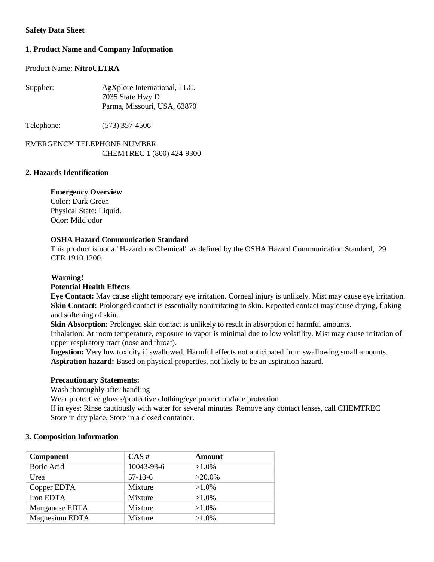# **Safety Data Sheet**

# **1. Product Name and Company Information**

## Product Name: **NitroULTRA**

| Supplier: | AgXplore International, LLC. |  |
|-----------|------------------------------|--|
|           | 7035 State Hwy D             |  |
|           | Parma, Missouri, USA, 63870  |  |

Telephone: (573) 357-4506

EMERGENCY TELEPHONE NUMBER CHEMTREC 1 (800) 424-9300

# **2. Hazards Identification**

# **Emergency Overview**

Color: Dark Green Physical State: Liquid. Odor: Mild odor

# **OSHA Hazard Communication Standard**

This product is not a "Hazardous Chemical" as defined by the OSHA Hazard Communication Standard, 29 CFR 1910.1200.

# **Warning!**

#### **Potential Health Effects**

**Eye Contact:** May cause slight temporary eye irritation. Corneal injury is unlikely. Mist may cause eye irritation. **Skin Contact:** Prolonged contact is essentially nonirritating to skin. Repeated contact may cause drying, flaking and softening of skin.

**Skin Absorption:** Prolonged skin contact is unlikely to result in absorption of harmful amounts.

Inhalation: At room temperature, exposure to vapor is minimal due to low volatility. Mist may cause irritation of upper respiratory tract (nose and throat).

**Ingestion:** Very low toxicity if swallowed. Harmful effects not anticipated from swallowing small amounts. **Aspiration hazard:** Based on physical properties, not likely to be an aspiration hazard.

#### **Precautionary Statements:**

Wash thoroughly after handling

Wear protective gloves/protective clothing/eye protection/face protection

If in eyes: Rinse cautiously with water for several minutes. Remove any contact lenses, call CHEMTREC Store in dry place. Store in a closed container.

# **3. Composition Information**

| <b>Component</b> | CAS#       | <b>Amount</b> |
|------------------|------------|---------------|
| Boric Acid       | 10043-93-6 | $>1.0\%$      |
| Urea             | $57-13-6$  | $>20.0\%$     |
| Copper EDTA      | Mixture    | $>1.0\%$      |
| Iron EDTA        | Mixture    | $>1.0\%$      |
| Manganese EDTA   | Mixture    | $>1.0\%$      |
| Magnesium EDTA   | Mixture    | $>1.0\%$      |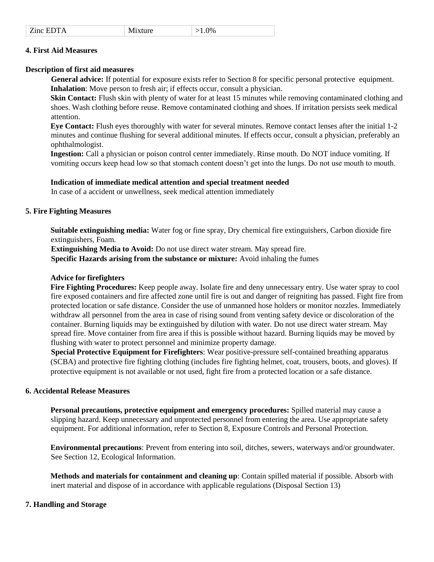| Zinc EDTA | Mixture | $>1.0\%$ |
|-----------|---------|----------|
|-----------|---------|----------|

### **4. First Aid Measures**

#### **Description of first aid measures**

**General advice:** If potential for exposure exists refer to Section 8 for specific personal protective equipment. **Inhalation**: Move person to fresh air; if effects occur, consult a physician.

**Skin Contact:** Flush skin with plenty of water for at least 15 minutes while removing contaminated clothing and shoes. Wash clothing before reuse. Remove contaminated clothing and shoes. If irritation persists seek medical attention.

**Eye Contact:** Flush eyes thoroughly with water for several minutes. Remove contact lenses after the initial 1-2 minutes and continue flushing for several additional minutes. If effects occur, consult a physician, preferably an ophthalmologist.

**Ingestion:** Call a physician or poison control center immediately. Rinse mouth. Do NOT induce vomiting. If vomiting occurs keep head low so that stomach content doesn't get into the lungs. Do not use mouth to mouth.

#### **Indication of immediate medical attention and special treatment needed**

In case of a accident or unwellness, seek medical attention immediately

#### **5. Fire Fighting Measures**

**Suitable extinguishing media:** Water fog or fine spray, Dry chemical fire extinguishers, Carbon dioxide fire extinguishers, Foam.

**Extinguishing Media to Avoid:** Do not use direct water stream. May spread fire. **Specific Hazards arising from the substance or mixture:** Avoid inhaling the fumes

#### **Advice for firefighters**

**Fire Fighting Procedures:** Keep people away. Isolate fire and deny unnecessary entry. Use water spray to cool fire exposed containers and fire affected zone until fire is out and danger of reigniting has passed. Fight fire from protected location or safe distance. Consider the use of unmanned hose holders or monitor nozzles. Immediately withdraw all personnel from the area in case of rising sound from venting safety device or discoloration of the container. Burning liquids may be extinguished by dilution with water. Do not use direct water stream. May spread fire. Move container from fire area if this is possible without hazard. Burning liquids may be moved by flushing with water to protect personnel and minimize property damage.

**Special Protective Equipment for Firefighters**: Wear positive-pressure self-contained breathing apparatus (SCBA) and protective fire fighting clothing (includes fire fighting helmet, coat, trousers, boots, and gloves). If protective equipment is not available or not used, fight fire from a protected location or a safe distance.

# **6. Accidental Release Measures**

**Personal precautions, protective equipment and emergency procedures:** Spilled material may cause a slipping hazard. Keep unnecessary and unprotected personnel from entering the area. Use appropriate safety equipment. For additional information, refer to Section 8, Exposure Controls and Personal Protection.

**Environmental precautions**: Prevent from entering into soil, ditches, sewers, waterways and/or groundwater. See Section 12, Ecological Information.

**Methods and materials for containment and cleaning up**: Contain spilled material if possible. Absorb with inert material and dispose of in accordance with applicable regulations (Disposal Section 13)

# **7. Handling and Storage**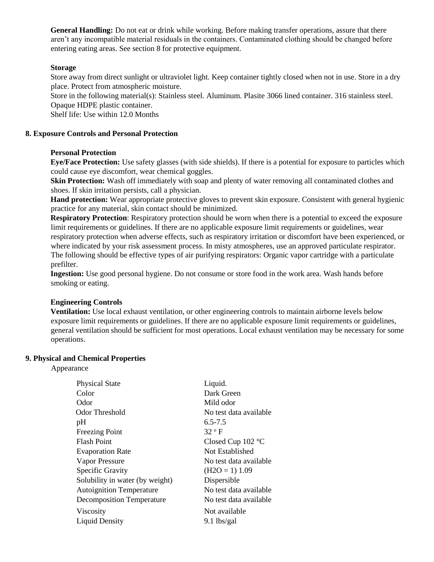**General Handling:** Do not eat or drink while working. Before making transfer operations, assure that there aren't any incompatible material residuals in the containers. Contaminated clothing should be changed before entering eating areas. See section 8 for protective equipment.

# **Storage**

Store away from direct sunlight or ultraviolet light. Keep container tightly closed when not in use. Store in a dry place. Protect from atmospheric moisture.

Store in the following material(s): Stainless steel. Aluminum. Plasite 3066 lined container. 316 stainless steel. Opaque HDPE plastic container.

Shelf life: Use within 12.0 Months

#### **8. Exposure Controls and Personal Protection**

#### **Personal Protection**

**Eye/Face Protection:** Use safety glasses (with side shields). If there is a potential for exposure to particles which could cause eye discomfort, wear chemical goggles.

**Skin Protection:** Wash off immediately with soap and plenty of water removing all contaminated clothes and shoes. If skin irritation persists, call a physician.

**Hand protection:** Wear appropriate protective gloves to prevent skin exposure. Consistent with general hygienic practice for any material, skin contact should be minimized.

**Respiratory Protection**: Respiratory protection should be worn when there is a potential to exceed the exposure limit requirements or guidelines. If there are no applicable exposure limit requirements or guidelines, wear respiratory protection when adverse effects, such as respiratory irritation or discomfort have been experienced, or where indicated by your risk assessment process. In misty atmospheres, use an approved particulate respirator. The following should be effective types of air purifying respirators: Organic vapor cartridge with a particulate prefilter.

**Ingestion:** Use good personal hygiene. Do not consume or store food in the work area. Wash hands before smoking or eating.

# **Engineering Controls**

**Ventilation:** Use local exhaust ventilation, or other engineering controls to maintain airborne levels below exposure limit requirements or guidelines. If there are no applicable exposure limit requirements or guidelines, general ventilation should be sufficient for most operations. Local exhaust ventilation may be necessary for some operations.

#### **9. Physical and Chemical Properties**

Appearance

| <b>Physical State</b>            | Liquid.                |
|----------------------------------|------------------------|
| Color                            | Dark Green             |
| Odor                             | Mild odor              |
| <b>Odor Threshold</b>            | No test data available |
| pH                               | $6.5 - 7.5$            |
| <b>Freezing Point</b>            | $32^{\circ}$ F         |
| <b>Flash Point</b>               | Closed Cup 102 °C      |
| <b>Evaporation Rate</b>          | Not Established        |
| <b>Vapor Pressure</b>            | No test data available |
| <b>Specific Gravity</b>          | $(H2O = 1) 1.09$       |
| Solubility in water (by weight)  | Dispersible            |
| <b>Autoignition Temperature</b>  | No test data available |
| <b>Decomposition Temperature</b> | No test data available |
| Viscosity                        | Not available          |
| <b>Liquid Density</b>            | $9.1$ lbs/gal          |
|                                  |                        |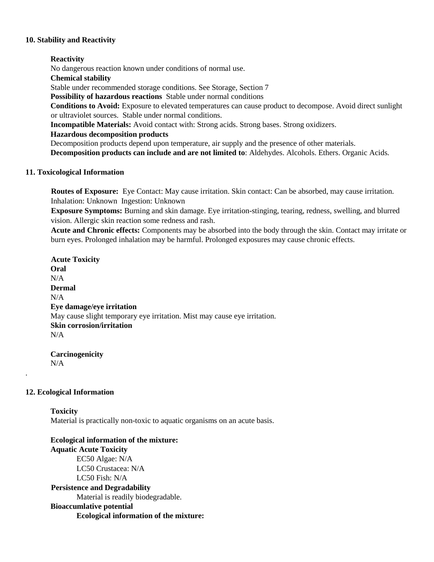#### **10. Stability and Reactivity**

#### **Reactivity**

No dangerous reaction known under conditions of normal use.

**Chemical stability** 

Stable under recommended storage conditions. See Storage, Section 7

**Possibility of hazardous reactions** Stable under normal conditions

**Conditions to Avoid:** Exposure to elevated temperatures can cause product to decompose. Avoid direct sunlight or ultraviolet sources. Stable under normal conditions.

**Incompatible Materials:** Avoid contact with: Strong acids. Strong bases. Strong oxidizers.

# **Hazardous decomposition products**

Decomposition products depend upon temperature, air supply and the presence of other materials.

**Decomposition products can include and are not limited to**: Aldehydes. Alcohols. Ethers. Organic Acids.

# **11. Toxicological Information**

**Routes of Exposure:** Eye Contact: May cause irritation. Skin contact: Can be absorbed, may cause irritation. Inhalation: Unknown Ingestion: Unknown

**Exposure Symptoms:** Burning and skin damage. Eye irritation-stinging, tearing, redness, swelling, and blurred vision. Allergic skin reaction some redness and rash.

**Acute and Chronic effects:** Components may be absorbed into the body through the skin. Contact may irritate or burn eyes. Prolonged inhalation may be harmful. Prolonged exposures may cause chronic effects.

**Acute Toxicity Oral**  N/A **Dermal**   $N/A$ **Eye damage/eye irritation**  May cause slight temporary eye irritation. Mist may cause eye irritation. **Skin corrosion/irritation**  N/A

**Carcinogenicity**  N/A

# **12. Ecological Information**

.

**Toxicity**  Material is practically non-toxic to aquatic organisms on an acute basis.

**Ecological information of the mixture: Aquatic Acute Toxicity** EC50 Algae: N/A LC50 Crustacea: N/A LC50 Fish: N/A **Persistence and Degradability**  Material is readily biodegradable. **Bioaccumlative potential Ecological information of the mixture:**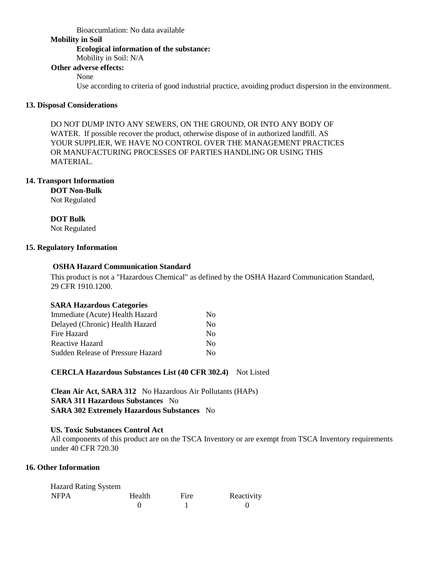#### Bioaccumlation: No data available

### **Mobility in Soil**

# **Ecological information of the substance:**

Mobility in Soil: N/A

# **Other adverse effects:**

# None

Use according to criteria of good industrial practice, avoiding product dispersion in the environment.

# **13. Disposal Considerations**

DO NOT DUMP INTO ANY SEWERS, ON THE GROUND, OR INTO ANY BODY OF WATER. If possible recover the product, otherwise dispose of in authorized landfill. AS YOUR SUPPLIER, WE HAVE NO CONTROL OVER THE MANAGEMENT PRACTICES OR MANUFACTURING PROCESSES OF PARTIES HANDLING OR USING THIS MATERIAL.

# **14. Transport Information**

# **DOT Non-Bulk**

Not Regulated

# **DOT Bulk**

Not Regulated

# **15. Regulatory Information**

# **OSHA Hazard Communication Standard**

This product is not a "Hazardous Chemical" as defined by the OSHA Hazard Communication Standard, 29 CFR 1910.1200.

# **SARA Hazardous Categories**

| Immediate (Acute) Health Hazard          | No  |
|------------------------------------------|-----|
| Delayed (Chronic) Health Hazard          | Nο  |
| Fire Hazard                              | Nο  |
| Reactive Hazard                          | No. |
| <b>Sudden Release of Pressure Hazard</b> | Nο  |

# **CERCLA Hazardous Substances List (40 CFR 302.4)** Not Listed

**Clean Air Act, SARA 312** No Hazardous Air Pollutants (HAPs) **SARA 311 Hazardous Substances** No **SARA 302 Extremely Hazardous Substances** No

# **US. Toxic Substances Control Act**

All components of this product are on the TSCA Inventory or are exempt from TSCA Inventory requirements under 40 CFR 720.30

# **16. Other Information**

| <b>Hazard Rating System</b> |        |      |            |
|-----------------------------|--------|------|------------|
| <b>NFPA</b>                 | Health | Fire | Reactivity |
|                             |        |      |            |